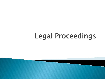# **Legal Proceedings**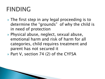## **FINDING**

- $\rightarrow$  The first step in any legal proceeding is to determine the "grounds" of why the child is in need of protection
- Physical abuse, neglect, sexual abuse, emotional harm and risk of harm for all categories, child requires treatment and parent has not secured it
- ▶ Part V, section 74 (2) of the CYFSA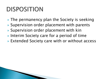## **DISPOSITION**

- ▸ The permanency plan the Society is seeking
- ▶ Supervision order placement with parents
- ▶ Supervision order placement with kin
- ▶ Interim Society care for a period of time
- ▶ Extended Society care with or without access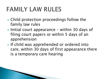# **FAMILY LAW RULES**

- Child protection proceedings follow the family law rules
- Initial court appearance within 30 days of filing court papers or within 5 days of an apprehension
- If child was apprehended or ordered into care, within 30 days of first appearance there is a temporary care hearing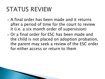# **STATUS REVIEW**

- A final order has been made and it returns after a period of time for the court to review it (i.e. a six month order of supervision)
- ▶ Or a final order for ESC has been made and the child is not placed on adoption probation, the parent may seek a review of the ESC order for either access or return to them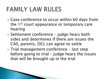# **FAMILY LAW RULES**

- ▶ Case conference to occur within 60 days from the 1<sup>st</sup> court appearance or temporary care hearing
- ▶ Settlement conference judge hears both sides and determines if there are issues the CAS, parents, OCL can agree to settle
- ▶ Trial management conference last step before going to trial – judge hears the issues that will be brought up in the trial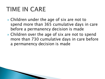## **TIME IN CARE**

- **► Children under the age of six are not to** spend more than 365 cumulative days in care before a permanency decision is made
- **► Children over the age of six are not to spend** more than 730 cumulative days in care before a permanency decision is made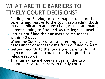#### **WHAT ARE THE BARRIERS TO TIMELY COURT DECISIONS?**

- ▶ Finding and Serving to court papers to all of the parents and parties to the court proceeding (both initial application and any changes that are made)
- ▶ Parent's ability to find and secure legal counsel
- ▶ Parties not filing their answers or responses within 30 days
- ▶ When the Society request a parenting capacity assessment or assessments from outside experts
- Getting records to the judge (i.e. parents do not sign consent and a court order is required to release records)
- Trial time- have 4 weeks a year in the two counties have to share with family court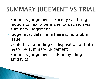# SUMMARY JUGEMENT VS TRIAL

- ▶ Summary judgement Society can bring a motion to hear a permanency decision via summary judgement
- **▶ Judge must determine there is no triable** issue
- ▶ Could have a finding or disposition or both heard by summary judgement
- Summary judgement is done by filing affidavits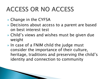# **ACCESS OR NO ACCESS**

- ▶ Change in the CYFSA
- ▶ Decisions about access to a parent are based on best interest test
- ▶ Child's views and wishes must be given due weight
- In case of a FNIM child the judge must consider the importance of their culture, heritage, traditions and preserving the child's identity and connection to community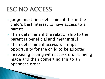# **ESC NO ACCESS**

- **▶ Judge must first determine if it is in the** child's best interest to have access to a parent
- $\rightarrow$  Then determine if the relationship to the parent is beneficial and meaningful
- ▶ Then determine if access will impair opportunity for the child to be adopted
- Increasing seeing with access orders being made and then converting this to an openness order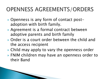### **OPENNESS AGREEMENTS/ORDERS**

- ▶ Openness is any form of contact postadoption with birth family.
- Agreement is a formal contract between adoptive parents and birth family
- ▶ Order is a court order between the child and the access recipient
- ▶ Child may apply to vary the openness order
- ▶ FNIM children may have an openness order to their Band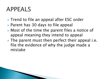## **APPEALS**

- ▶ Trend to file an appeal after ESC order
- ▶ Parent has 30 days to file appeal
- ▶ Most of the time the parent files a notice of appeal meaning they intend to appeal
- ▶ The parent must then perfect their appeal *i.e.* file the evidence of why the judge made a mistake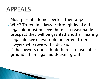## **APPEALS**

- Most parents do not perfect their appeal
- ▶ WHY? To retain a lawyer through legal aid legal aid must believe there is a reasonable prospect they will be granted another hearing
- Legal aid seeks two opinion letters from lawyers who review the decision
- If the lawyers don't think there is reasonable grounds then legal aid doesn't grant